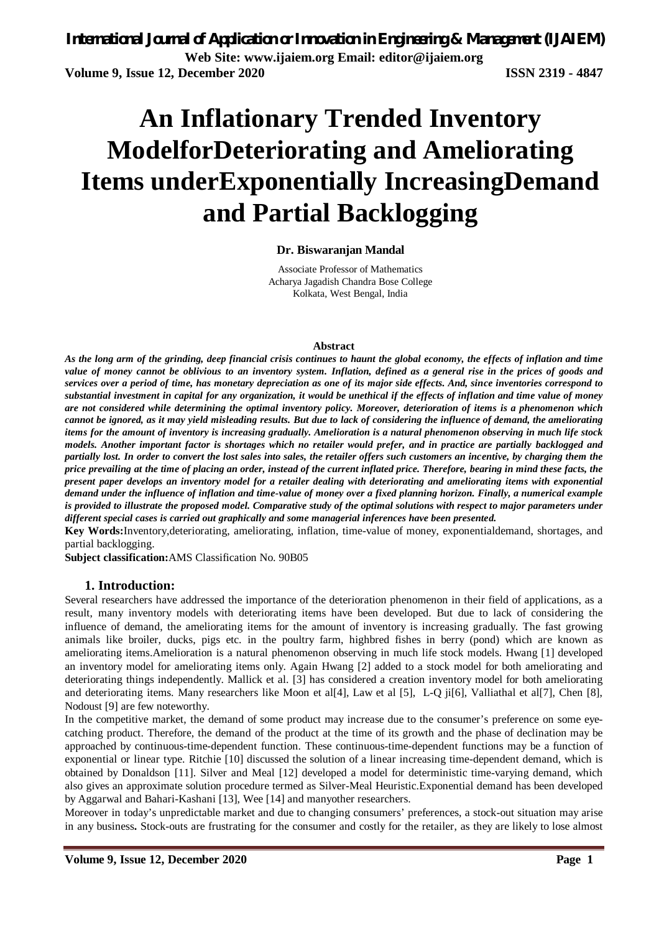# **An Inflationary Trended Inventory ModelforDeteriorating and Ameliorating Items underExponentially IncreasingDemand and Partial Backlogging**

#### **Dr. Biswaranjan Mandal**

Associate Professor of Mathematics Acharya Jagadish Chandra Bose College Kolkata, West Bengal, India

#### **Abstract**

*As the long arm of the grinding, deep financial crisis continues to haunt the global economy, the effects of inflation and time value of money cannot be oblivious to an inventory system. Inflation, defined as a general rise in the prices of goods and services over a period of time, has monetary depreciation as one of its major side effects. And, since inventories correspond to substantial investment in capital for any organization, it would be unethical if the effects of inflation and time value of money are not considered while determining the optimal inventory policy. Moreover, deterioration of items is a phenomenon which cannot be ignored, as it may yield misleading results. But due to lack of considering the influence of demand, the ameliorating items for the amount of inventory is increasing gradually. Amelioration is a natural phenomenon observing in much life stock models. Another important factor is shortages which no retailer would prefer, and in practice are partially backlogged and partially lost. In order to convert the lost sales into sales, the retailer offers such customers an incentive, by charging them the price prevailing at the time of placing an order, instead of the current inflated price. Therefore, bearing in mind these facts, the present paper develops an inventory model for a retailer dealing with deteriorating and ameliorating items with exponential demand under the influence of inflation and time-value of money over a fixed planning horizon. Finally, a numerical example is provided to illustrate the proposed model. Comparative study of the optimal solutions with respect to major parameters under different special cases is carried out graphically and some managerial inferences have been presented.*

**Key Words:**Inventory,deteriorating, ameliorating, inflation, time-value of money, exponentialdemand, shortages, and partial backlogging.

**Subject classification:**AMS Classification No. 90B05

#### **1. Introduction:**

Several researchers have addressed the importance of the deterioration phenomenon in their field of applications, as a result, many inventory models with deteriorating items have been developed. But due to lack of considering the influence of demand, the ameliorating items for the amount of inventory is increasing gradually. The fast growing animals like broiler, ducks, pigs etc. in the poultry farm, highbred fishes in berry (pond) which are known as ameliorating items.Amelioration is a natural phenomenon observing in much life stock models. Hwang [1] developed an inventory model for ameliorating items only. Again Hwang [2] added to a stock model for both ameliorating and deteriorating things independently. Mallick et al. [3] has considered a creation inventory model for both ameliorating and deteriorating items. Many researchers like Moon et al[4], Law et al [5], L-Q ji[6], Valliathal et al[7], Chen [8], Nodoust [9] are few noteworthy.

In the competitive market, the demand of some product may increase due to the consumer's preference on some eyecatching product. Therefore, the demand of the product at the time of its growth and the phase of declination may be approached by continuous-time-dependent function. These continuous-time-dependent functions may be a function of exponential or linear type. Ritchie [10] discussed the solution of a linear increasing time-dependent demand, which is obtained by Donaldson [11]. Silver and Meal [12] developed a model for deterministic time-varying demand, which also gives an approximate solution procedure termed as Silver-Meal Heuristic.Exponential demand has been developed by Aggarwal and Bahari-Kashani [13], Wee [14] and manyother researchers.

Moreover in today's unpredictable market and due to changing consumers' preferences, a stock-out situation may arise in any business**.** Stock-outs are frustrating for the consumer and costly for the retailer, as they are likely to lose almost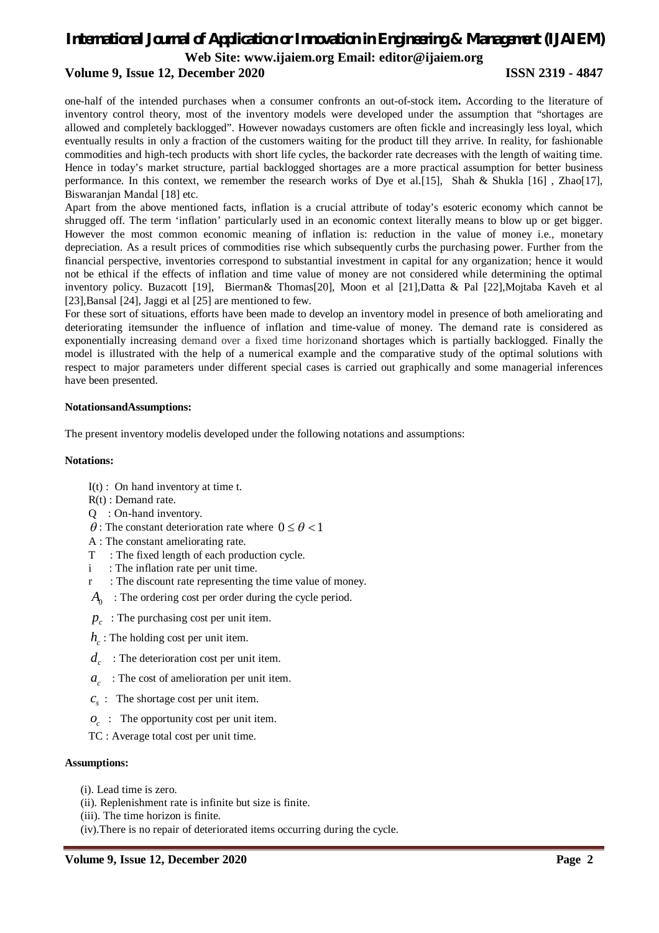# *International Journal of Application or Innovation in Engineering & Management (IJAIEM)*

**Web Site: www.ijaiem.org Email: editor@ijaiem.org**

#### **Volume 9, Issue 12, December 2020 ISSN 2319 - 4847**

one-half of the intended purchases when a consumer confronts an out-of-stock item**.** According to the literature of inventory control theory, most of the inventory models were developed under the assumption that "shortages are allowed and completely backlogged". However nowadays customers are often fickle and increasingly less loyal, which eventually results in only a fraction of the customers waiting for the product till they arrive. In reality, for fashionable commodities and high-tech products with short life cycles, the backorder rate decreases with the length of waiting time. Hence in today's market structure, partial backlogged shortages are a more practical assumption for better business performance. In this context, we remember the research works of Dye et al.[15], Shah & Shukla [16] , Zhao[17], Biswaranjan Mandal [18] etc.

Apart from the above mentioned facts, inflation is a crucial attribute of today's esoteric economy which cannot be shrugged off. The term 'inflation' particularly used in an economic context literally means to blow up or get bigger. However the most common economic meaning of inflation is: reduction in the value of money i.e., monetary depreciation. As a result prices of commodities rise which subsequently curbs the purchasing power. Further from the financial perspective, inventories correspond to substantial investment in capital for any organization; hence it would not be ethical if the effects of inflation and time value of money are not considered while determining the optimal inventory policy. Buzacott [19], Bierman& Thomas[20], Moon et al [21],Datta & Pal [22],Mojtaba Kaveh et al [23],Bansal [24], Jaggi et al [25] are mentioned to few.

For these sort of situations, efforts have been made to develop an inventory model in presence of both ameliorating and deteriorating itemsunder the influence of inflation and time-value of money. The demand rate is considered as exponentially increasing demand over a fixed time horizonand shortages which is partially backlogged. Finally the model is illustrated with the help of a numerical example and the comparative study of the optimal solutions with respect to major parameters under different special cases is carried out graphically and some managerial inferences have been presented.

#### **NotationsandAssumptions:**

The present inventory modelis developed under the following notations and assumptions:

#### **Notations:**

- $I(t)$ : On hand inventory at time t.
- R(t) : Demand rate.
- Q : On-hand inventory.
- $\theta$ : The constant deterioration rate where  $0 \le \theta < 1$
- A : The constant ameliorating rate.
- T : The fixed length of each production cycle.
- i : The inflation rate per unit time.
- r : The discount rate representing the time value of money.
- *A*0 : The ordering cost per order during the cycle period.
- $p_c$ : The purchasing cost per unit item.
- $h_c$  : The holding cost per unit item.
- $d_c$ : The deterioration cost per unit item.
- *c a* : The cost of amelioration per unit item.
- $c_s$ : The shortage cost per unit item.
- *c o* : The opportunity cost per unit item.
- TC : Average total cost per unit time.

#### **Assumptions:**

- (i). Lead time is zero.
- (ii). Replenishment rate is infinite but size is finite.
- (iii). The time horizon is finite.
- (iv).There is no repair of deteriorated items occurring during the cycle.

#### **Volume 9, Issue 12, December 2020 Page 2**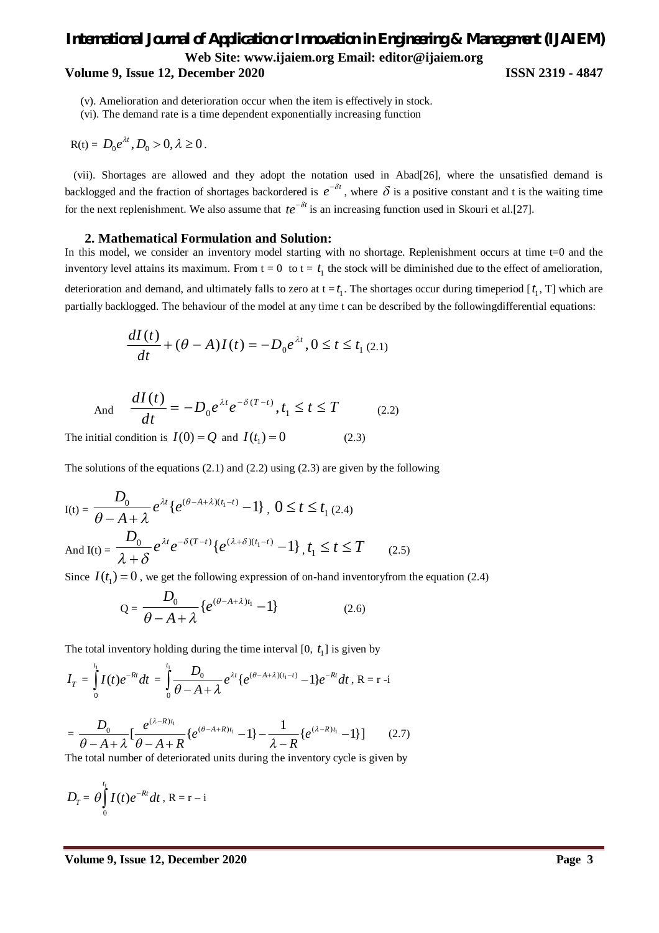## *International Journal of Application or Innovation in Engineering & Management (IJAIEM)* **Web Site: www.ijaiem.org Email: editor@ijaiem.org Volume 9, Issue 12, December 2020 ISSN 2319 - 4847**

(v). Amelioration and deterioration occur when the item is effectively in stock.

(vi). The demand rate is a time dependent exponentially increasing function

$$
R(t) = D_0 e^{\lambda t}, D_0 > 0, \lambda \ge 0.
$$

 (vii). Shortages are allowed and they adopt the notation used in Abad[26], where the unsatisfied demand is backlogged and the fraction of shortages backordered is  $e^{-\delta t}$ , where  $\delta$  is a positive constant and t is the waiting time for the next replenishment. We also assume that  $te^{-\delta t}$  is an increasing function used in Skouri et al.[27].

#### **2. Mathematical Formulation and Solution:**

In this model, we consider an inventory model starting with no shortage. Replenishment occurs at time t=0 and the inventory level attains its maximum. From  $t = 0$  to  $t = t_1$  the stock will be diminished due to the effect of amelioration, deterioration and demand, and ultimately falls to zero at  $t = t_1$ . The shortages occur during timeperiod  $[t_1, T]$  which are partially backlogged. The behaviour of the model at any time t can be described by the followingdifferential equations:

$$
\frac{dI(t)}{dt} + (\theta - A)I(t) = -D_0 e^{\lambda t}, 0 \le t \le t_1 (2.1)
$$

And 
$$
\frac{dI(t)}{dt} = -D_0 e^{\lambda t} e^{-\delta(T-t)}, t_1 \le t \le T
$$
 (2.2)

The initial condition is  $I(0) = Q$  and  $I(t_1) = 0$  (2.3)

The solutions of the equations (2.1) and (2.2) using (2.3) are given by the following

$$
I(t) = \frac{D_0}{\theta - A + \lambda} e^{\lambda t} \{ e^{(\theta - A + \lambda)(t_1 - t)} - 1 \}, \ 0 \le t \le t_1 \text{ (2.4)}
$$
\n
$$
\text{And } I(t) = \frac{D_0}{\lambda + \delta} e^{\lambda t} e^{-\delta (T - t)} \{ e^{(\lambda + \delta)(t_1 - t)} - 1 \}, \ t_1 \le t \le T \tag{2.5}
$$

Since  $I(t_1) = 0$ , we get the following expression of on-hand inventoryfrom the equation (2.4)

$$
Q = \frac{D_0}{\theta - A + \lambda} \{e^{(\theta - A + \lambda)t_1} - 1\}
$$
 (2.6)

The total inventory holding during the time interval  $[0, t<sub>1</sub>]$  is given by

$$
I_T = \int_0^{t_1} I(t)e^{-Rt}dt = \int_0^{t_1} \frac{D_0}{\theta - A + \lambda} e^{\lambda t} \{e^{(\theta - A + \lambda)(t_1 - t)} - 1\}e^{-Rt}dt, R = r - i
$$

$$
= \frac{D_0}{\theta - A + \lambda} \left[ \frac{e^{(\lambda - R)t_1}}{\theta - A + R} \left\{ e^{(\theta - A + R)t_1} - 1 \right\} - \frac{1}{\lambda - R} \left\{ e^{(\lambda - R)t_1} - 1 \right\} \right] \tag{2.7}
$$

The total number of deteriorated units during the inventory cycle is given by

$$
D_T = \theta \int_0^{t_1} I(t) e^{-Rt} dt, R = r - i
$$

**Volume 9, Issue 12, December 2020 Page 3**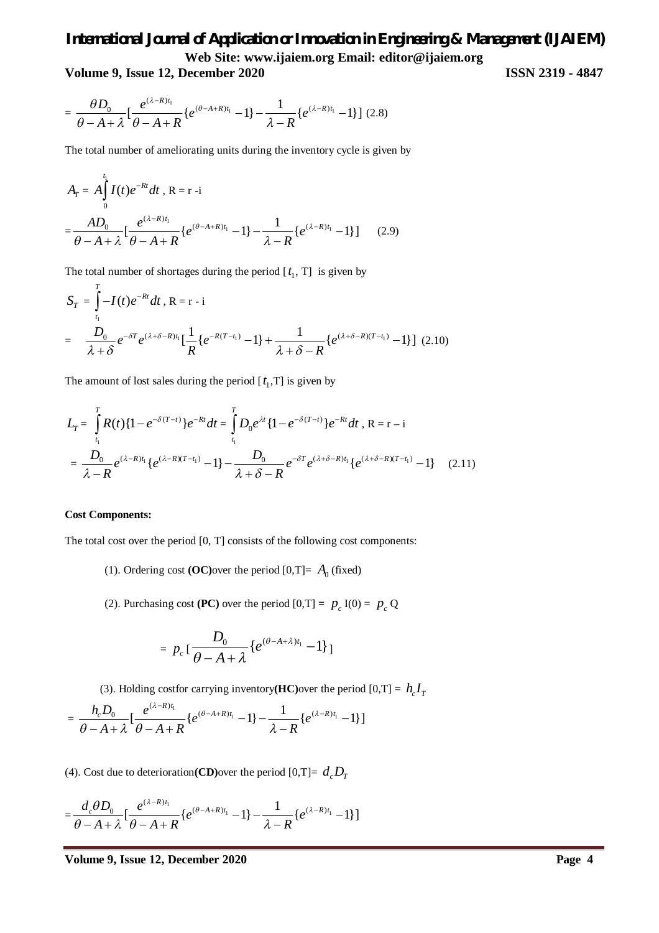**Volume 9, Issue 12, December 2020 ISSN 2319 - 4847**

$$
= \frac{\theta D_0}{\theta - A + \lambda} \left[ \frac{e^{(\lambda - R)t_1}}{\theta - A + R} \left\{ e^{(\theta - A + R)t_1} - 1 \right\} - \frac{1}{\lambda - R} \left\{ e^{(\lambda - R)t_1} - 1 \right\} \right] (2.8)
$$

The total number of ameliorating units during the inventory cycle is given by

$$
A_{T} = A \int_{0}^{t_{1}} I(t) e^{-Rt} dt, R = r - i
$$
  
= 
$$
\frac{AD_{0}}{\theta - A + \lambda} \left[ \frac{e^{(\lambda - R)t_{1}}}{\theta - A + R} \{ e^{(\theta - A + R)t_{1}} - 1 \} - \frac{1}{\lambda - R} \{ e^{(\lambda - R)t_{1}} - 1 \} \right]
$$
(2.9)

The total number of shortages during the period  $[t_1, T]$  is given by

$$
S_T = \int_{t_1}^{T} -I(t)e^{-Rt}dt, R = r - i
$$
  
= 
$$
\frac{D_0}{\lambda + \delta}e^{-\delta T}e^{(\lambda + \delta - R)t_1} \Big[\frac{1}{R}\big\{e^{-R(T-t_1)} - 1\big\} + \frac{1}{\lambda + \delta - R}\big\{e^{(\lambda + \delta - R)(T-t_1)} - 1\big\}\Big]
$$
 (2.10)

The amount of lost sales during the period  $[t_1, T]$  is given by

$$
L_{T} = \int_{t_{1}}^{T} R(t) \{1 - e^{-\delta(T-t)}\} e^{-Rt} dt = \int_{t_{1}}^{T} D_{0} e^{\lambda t} \{1 - e^{-\delta(T-t)}\} e^{-Rt} dt, R = r - i
$$
  
= 
$$
\frac{D_{0}}{\lambda - R} e^{(\lambda - R)t_{1}} \{e^{(\lambda - R)(T-t_{1})} - 1\} - \frac{D_{0}}{\lambda + \delta - R} e^{-\delta T} e^{(\lambda + \delta - R)t_{1}} \{e^{(\lambda + \delta - R)(T-t_{1})} - 1\} \quad (2.11)
$$

#### **Cost Components:**

The total cost over the period [0, T] consists of the following cost components:

- (1). Ordering cost  $(OC)$ over the period  $[0, T]= A_0$  (fixed)
- (2). Purchasing cost (PC) over the period  $[0, T] = p_c I(0) = p_c Q$

$$
= p_c \left[ \frac{D_0}{\theta - A + \lambda} \left\{ e^{(\theta - A + \lambda)t_1} - 1 \right\} \right]
$$

(3). Holding costfor carrying inventory(**HC**) over the period  $[0, T] = h_c I_T$ 

$$
= \frac{h_c D_0}{\theta - A + \lambda} \left[ \frac{e^{(\lambda - R)t_1}}{\theta - A + R} \{ e^{(\theta - A + R)t_1} - 1 \} - \frac{1}{\lambda - R} \{ e^{(\lambda - R)t_1} - 1 \} \right]
$$

(4). Cost due to deterioration(CD) over the period  $[0, T] = d_c D_T$ 

$$
=\frac{d_c \theta D_0}{\theta - A + \lambda} \left[ \frac{e^{(\lambda - R)t_1}}{\theta - A + R} \left\{ e^{(\theta - A + R)t_1} - 1 \right\} - \frac{1}{\lambda - R} \left\{ e^{(\lambda - R)t_1} - 1 \right\} \right]
$$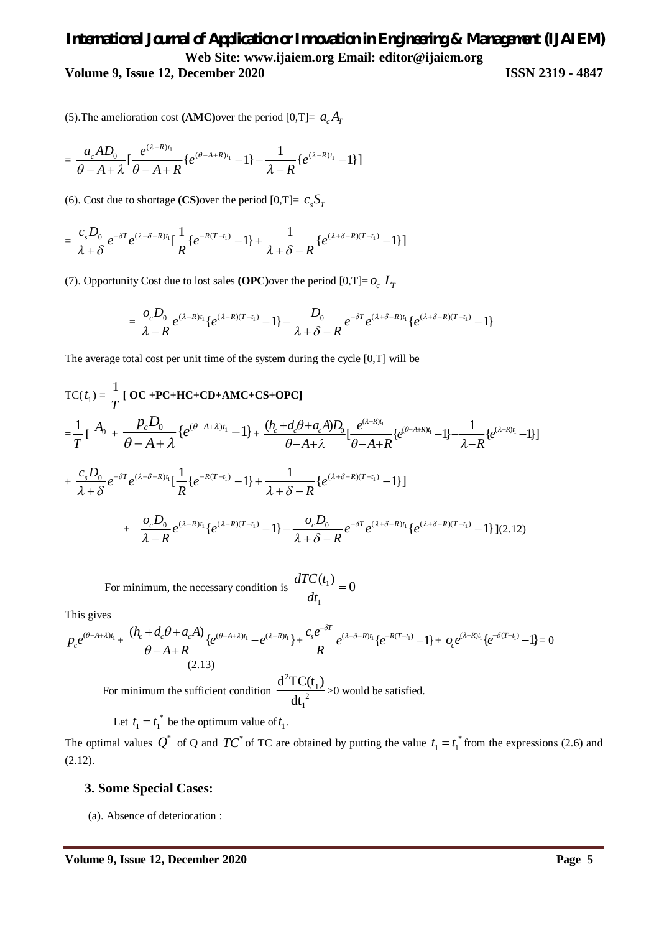# *International Journal of Application or Innovation in Engineering & Management (IJAIEM)* **Web Site: www.ijaiem.org Email: editor@ijaiem.org Volume 9, Issue 12, December 2020 ISSN 2319 - 4847**

(5). The amelioration cost (AMC) over the period [0,T]=  $a_c A_T$ 

$$
=\frac{a_{c}AD_{0}}{\theta-A+\lambda}\left[\frac{e^{(\lambda-R)t_{1}}}{\theta-A+R}\left\{e^{(\theta-A+R)t_{1}}-1\right\}-\frac{1}{\lambda-R}\left\{e^{(\lambda-R)t_{1}}-1\right\}\right]
$$

(6). Cost due to shortage **(CS)**over the period  $[0, T] = c_s S_T$ 

$$
= \frac{c_s D_0}{\lambda + \delta} e^{-\delta T} e^{(\lambda + \delta - R)t_1} \Big[ \frac{1}{R} \{ e^{-R(T-t_1)} - 1 \} + \frac{1}{\lambda + \delta - R} \{ e^{(\lambda + \delta - R)(T-t_1)} - 1 \} \Big]
$$

(7). Opportunity Cost due to lost sales **(OPC)**over the period  $[0, T] = o_c$   $L_T$ 

$$
=\frac{o_c D_0}{\lambda-R}e^{(\lambda-R)t_1}\lbrace e^{(\lambda-R)(T-t_1)}-1\rbrace-\frac{D_0}{\lambda+\delta-R}e^{-\delta T}e^{(\lambda+\delta-R)t_1}\lbrace e^{(\lambda+\delta-R)(T-t_1)}-1\rbrace
$$

The average total cost per unit time of the system during the cycle  $[0, T]$  will be

$$
TC(t_1) = \frac{1}{T} [\mathbf{OC} + \mathbf{PC} + \mathbf{HC} + \mathbf{CD} + \mathbf{AMC} + \mathbf{CS} + \mathbf{OPC}]
$$
  
\n
$$
= \frac{1}{T} [\mathbf{A}_0 + \frac{p_c D_0}{\theta - A + \lambda} \{e^{(\theta - A + \lambda)t_1} - 1\} + \frac{(h_c + d_c \theta + a_c A)D_0}{\theta - A + \lambda} [\frac{e^{(\lambda - R)t_1}}{\theta - A + R}] - 1] - \frac{1}{\lambda - R} \{e^{(\lambda - R)t_1} - 1\}]
$$
  
\n+  $\frac{c_s D_0}{\lambda + \delta} e^{-\delta T} e^{(\lambda + \delta - R)t_1} [\frac{1}{R} \{e^{-R(T - t_1)} - 1\} + \frac{1}{\lambda + \delta - R} \{e^{(\lambda + \delta - R)(T - t_1)} - 1\}]$   
\n+  $\frac{o_c D_0}{\lambda - R} e^{(\lambda - R)t_1} \{e^{(\lambda - R)(T - t_1)} - 1\} - \frac{o_c D_0}{\lambda + \delta - R} e^{-\delta T} e^{(\lambda + \delta - R)t_1} \{e^{(\lambda + \delta - R)(T - t_1)} - 1\} ](2.12)$ 

For minimum, the necessary condition is  $\frac{u_1 \partial u_1}{\partial u_2}$ 1  $\frac{dTC(t_1)}{dt} = 0$ *dt*  $=$ 

This gives

$$
p_c e^{(\theta - A + \lambda)t_1} + \frac{(h_c + d_c \theta + a_c A)}{\theta - A + R} \{e^{(\theta - A + \lambda)t_1} - e^{(\lambda - R)t_1}\} + \frac{c_s e^{-\delta T}}{R} e^{(\lambda + \delta - R)t_1} \{e^{-R(T - t_1)} - 1\} + o_c e^{(\lambda - R)t_1} \{e^{-\delta (T - t_1)} - 1\} = 0
$$
\n(2.13)

For minimum the sufficient condition 2 1 2 1  $d^2TC(t_1)$  $\frac{1}{\text{dt}_{1}^{2}}$  >0 would be satisfied.

Let  $t_1 = t_1^*$  be the optimum value of  $t_1$ .

The optimal values  $Q^*$  of Q and  $TC^*$  of TC are obtained by putting the value  $t_1 = t_1^*$  from the expressions (2.6) and  $(2.12).$ 

### **3. Some Special Cases:**

(a). Absence of deterioration :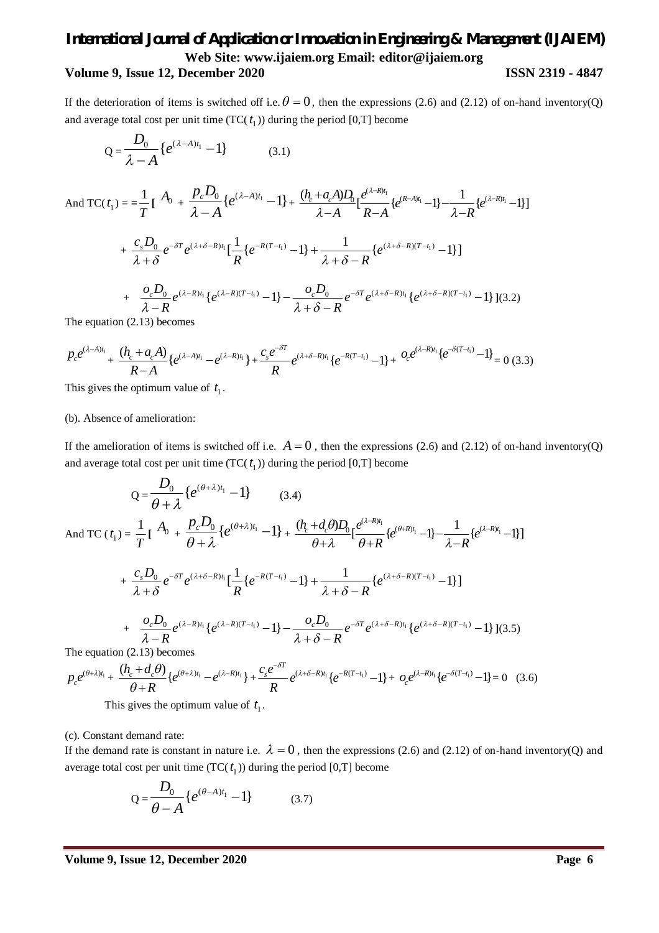# *International Journal of Application or Innovation in Engineering & Management (IJAIEM)* **Web Site: www.ijaiem.org Email: editor@ijaiem.org Volume 9, Issue 12, December 2020 ISSN 2319 - 4847**

If the deterioration of items is switched off i.e.  $\theta = 0$ , then the expressions (2.6) and (2.12) of on-hand inventory(Q) and average total cost per unit time  $(TC(t_1))$  during the period [0,T] become

$$
Q = \frac{D_0}{\lambda - A} \{ e^{(\lambda - A)t_1} - 1 \}
$$
 (3.1)

And TC(
$$
t_1
$$
) =  $=\frac{1}{T} \left[ A_0 + \frac{p_c D_0}{\lambda - A} \{ e^{(\lambda - A)t_1} - 1 \} + \frac{(h_c + a_c A)D_0}{\lambda - A} \left[ \frac{e^{(\lambda - R)t_1}}{R - A} \{ e^{(R - A)t_1} - 1 \} - \frac{1}{\lambda - R} \{ e^{(\lambda - R)t_1} - 1 \} \right]$ 

$$
+\frac{c_s D_0}{\lambda+\delta}e^{-\delta T}e^{(\lambda+\delta-R)t_1}[\frac{1}{R}\left\{e^{-R(T-t_1)}-1\right\}+\frac{1}{\lambda+\delta-R}\left\{e^{(\lambda+\delta-R)(T-t_1)}-1\right\}]
$$

+ 
$$
\frac{O_c D_0}{\lambda - R} e^{(\lambda - R)t_1} \{e^{(\lambda - R)(T - t_1)} - 1\} - \frac{O_c D_0}{\lambda + \delta - R} e^{-\delta T} e^{(\lambda + \delta - R)t_1} \{e^{(\lambda + \delta - R)(T - t_1)} - 1\} (3.2)
$$

The equation (2.13) becomes

$$
P_{c}e^{(\lambda-A)t_{1}} + \frac{(h_{c} + a_{c}A)}{R-A}\left\{e^{(\lambda-A)t_{1}} - e^{(\lambda-R)t_{1}}\right\} + \frac{c_{s}e^{-\delta T}}{R}e^{(\lambda+\delta-R)t_{1}}\left\{e^{-R(T-t_{1})} - 1\right\} + \frac{O_{c}e^{(\lambda-R)t_{1}}\left\{e^{-\delta(T-t_{1})} - 1\right\}}{R} = 0 \tag{3.3}
$$

This gives the optimum value of  $t_1$ .

#### (b). Absence of amelioration:

If the amelioration of items is switched off i.e.  $A = 0$ , then the expressions (2.6) and (2.12) of on-hand inventory(Q) and average total cost per unit time  $(TC(t<sub>1</sub>))$  during the period [0,T] become

$$
Q = \frac{D_0}{\theta + \lambda} \{ e^{(\theta + \lambda)t_1} - 1 \} \qquad (3.4)
$$
  
\nAnd TC  $(t_1) = \frac{1}{T} \left[ A_0 + \frac{p_c D_0}{\theta + \lambda} \{ e^{(\theta + \lambda)t_1} - 1 \} + \frac{(h_c + d_c \theta) D_0}{\theta + \lambda} \left[ e^{(\lambda - R)t_1} - 1 \right] - \frac{1}{\lambda - R} \{ e^{(\lambda - R)t_1} - 1 \} \right]$   
\n $+ \frac{c_s D_0}{\lambda + \delta} e^{-\delta T} e^{(\lambda + \delta - R)t_1} \left[ \frac{1}{R} \{ e^{-R(T - t_1)} - 1 \} + \frac{1}{\lambda + \delta - R} \{ e^{(\lambda + \delta - R)(T - t_1)} - 1 \} \right]$   
\n $+ \frac{\partial_c D_0}{\lambda - R} e^{(\lambda - R)t_1} \{ e^{(\lambda - R)(T - t_1)} - 1 \} - \frac{\partial_c D_0}{\lambda + \delta - R} e^{-\delta T} e^{(\lambda + \delta - R)t_1} \{ e^{(\lambda + \delta - R)(T - t_1)} - 1 \} \} (3.5)$   
\nThe equation (2.13) becomes

$$
P_{c}e^{(\theta+\lambda)t_{1}} + \frac{(h_{c}+d_{c}\theta)}{\theta+R}\{e^{(\theta+\lambda)t_{1}}-e^{(\lambda-R)t_{1}}\} + \frac{c_{s}e^{-\delta T}}{R}e^{(\lambda+\delta-R)t_{1}}\{e^{-R(T-t_{1})}-1\} + o_{c}e^{(\lambda-R)t_{1}}\{e^{-\delta(T-t_{1})}-1\} = 0 \quad (3.6)
$$

This gives the optimum value of  $t_1$ .

(c). Constant demand rate:

If the demand rate is constant in nature i.e.  $\lambda = 0$ , then the expressions (2.6) and (2.12) of on-hand inventory(Q) and average total cost per unit time  $(TC(t_1))$  during the period [0,T] become

$$
Q = \frac{D_0}{\theta - A} \{ e^{(\theta - A)t_1} - 1 \}
$$
 (3.7)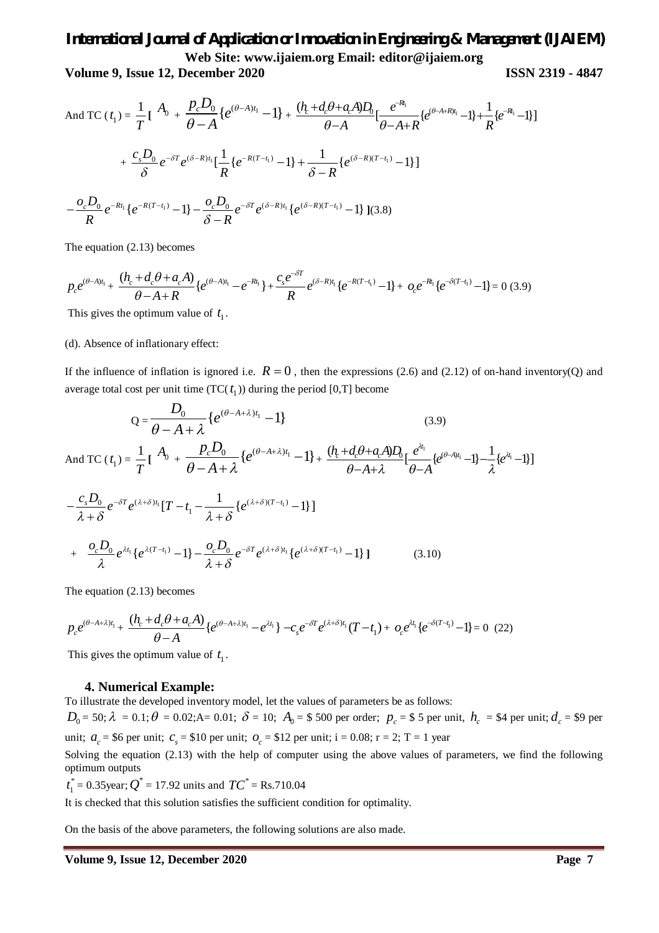**Volume 9, Issue 12, December 2020 ISSN 2319 - 4847**

And TC 
$$
(t_1) = \frac{1}{T} \left[ A_0 + \frac{p_c D_0}{\theta - A} \{ e^{(\theta - A)t_1} - 1 \} + \frac{(h_c + d_c \theta + a_c A)D_0}{\theta - A} \left[ \frac{e^{-R_1}}{\theta - A + R} \{ e^{(\theta - A + R)t_1} - 1 \} + \frac{1}{R} \{ e^{-R_1} - 1 \} \right] \right]
$$
  
+  $\frac{c_s D_0}{\delta} e^{-\delta T} e^{(\delta - R)t_1} \left[ \frac{1}{R} \{ e^{-R(T-t_1)} - 1 \} + \frac{1}{\delta - R} \{ e^{(\delta - R)(T-t_1)} - 1 \} \right]$   
-  $\frac{o_c D_0}{R} e^{-Rt_1} \{ e^{-R(T-t_1)} - 1 \} - \frac{o_c D_0}{\delta - R} e^{-\delta T} e^{(\delta - R)t_1} \{ e^{(\delta - R)(T-t_1)} - 1 \} \} (3.8)$ 

The equation (2.13) becomes

$$
p_{c}e^{(\theta-A)t_{1}} + \frac{(h_{c}+d_{c}\theta+a_{c}A)}{\theta-A+R}\{e^{(\theta-A)t_{1}}-e^{-Rt_{1}}\} + \frac{c_{s}e^{-\delta T}}{R}e^{(\delta-R)t_{1}}\{e^{-R(T-t_{1})}-1\} + o_{c}e^{-Rt_{1}}\{e^{-\delta(T-t_{1})}-1\} = 0
$$
(3.9)

This gives the optimum value of  $t_1$ .

#### (d). Absence of inflationary effect:

If the influence of inflation is ignored i.e.  $R = 0$ , then the expressions (2.6) and (2.12) of on-hand inventory(Q) and average total cost per unit time  $(TC(t_1))$  during the period [0,T] become

$$
Q = \frac{D_0}{\theta - A + \lambda} \{ e^{(\theta - A + \lambda)t_1} - 1 \}
$$
(3.9)  
\nAnd TC  $(t_1) = \frac{1}{T} \left[ A_0 + \frac{p_c D_0}{\theta - A + \lambda} \{ e^{(\theta - A + \lambda)t_1} - 1 \} + \frac{(h_c + d_c \theta + a_c A)D_0}{\theta - A + \lambda} \left[ \frac{e^{(\theta - A)t_1}}{\theta - A} - \frac{c_s D_0}{\lambda + \delta} e^{-\delta T} e^{(\lambda + \delta)t_1} \left[ T - t_1 - \frac{1}{\lambda + \delta} \{ e^{(\lambda + \delta)(T - t_1)} - 1 \} \right] \right]$   
\n $+ \frac{\partial_c D_0}{\lambda} e^{\lambda t_1} \{ e^{\lambda (T - t_1)} - 1 \} - \frac{\partial_c D_0}{\lambda + \delta} e^{-\delta T} e^{(\lambda + \delta)t_1} \{ e^{(\lambda + \delta)(T - t_1)} - 1 \} ]$ (3.10)

The equation (2.13) becomes

$$
p_c e^{(\theta - A + \lambda)t_1} + \frac{(h_c + d_c \theta + a_c A)}{\theta - A} \{e^{(\theta - A + \lambda)t_1} - e^{\lambda t_1}\} - c_s e^{-\delta T} e^{(\lambda + \delta)t_1} (T - t_1) + o_c e^{\lambda t_1} \{e^{-\delta (T - t_1)} - 1\} = 0 \tag{22}
$$

This gives the optimum value of  $t_1$ .

#### **4. Numerical Example:**

To illustrate the developed inventory model, let the values of parameters be as follows:

 $D_0 = 50; \lambda = 0.1; \theta = 0.02; A = 0.01; \delta = 10; A_0 = $\,500$  per order;  $p_c = $\,$ 5 per unit,  $h_c = $4$  per unit;  $d_c = $9$  per unit;  $a_c = $6$  per unit;  $c_s = $10$  per unit;  $o_c = $12$  per unit;  $i = 0.08$ ;  $r = 2$ ;  $T = 1$  year

Solving the equation (2.13) with the help of computer using the above values of parameters, we find the following optimum outputs

\*  $t_1^* = 0.35$ year;  $Q^* = 17.92$  units and  $TC^* = \text{Rs}.710.04$ 

It is checked that this solution satisfies the sufficient condition for optimality.

On the basis of the above parameters, the following solutions are also made.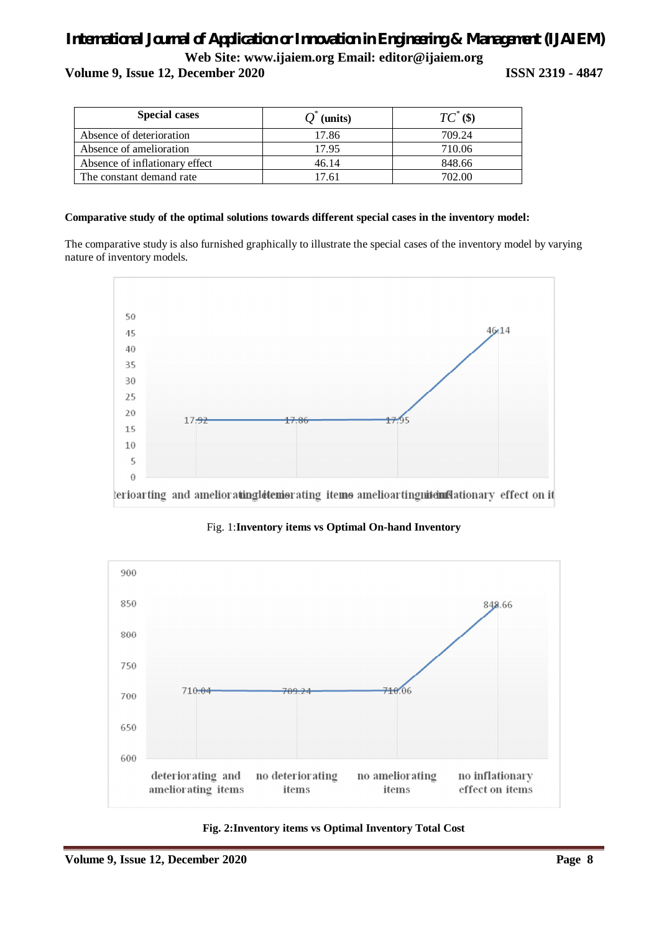**Volume 9, Issue 12, December 2020 ISSN 2319 - 4847**

| <b>Special cases</b>           | (units) | $TC^*(\$)$ |
|--------------------------------|---------|------------|
| Absence of deterioration       | 17.86   | 709.24     |
| Absence of amelioration        | 17.95   | 710.06     |
| Absence of inflationary effect | 46.14   | 848.66     |
| The constant demand rate       | 7.61    | 702.00     |

### **Comparative study of the optimal solutions towards different special cases in the inventory model:**

The comparative study is also furnished graphically to illustrate the special cases of the inventory model by varying nature of inventory models.



Fig. 1:**Inventory items vs Optimal On-hand Inventory** 



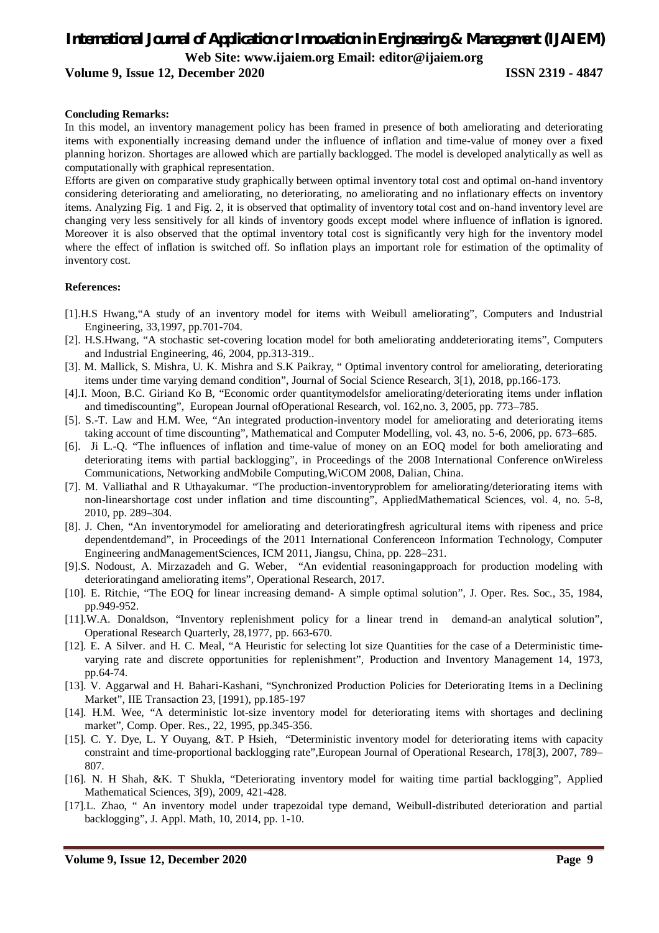**Volume 9, Issue 12, December 2020 ISSN 2319 - 4847**

#### **Concluding Remarks:**

In this model, an inventory management policy has been framed in presence of both ameliorating and deteriorating items with exponentially increasing demand under the influence of inflation and time-value of money over a fixed planning horizon. Shortages are allowed which are partially backlogged. The model is developed analytically as well as computationally with graphical representation.

Efforts are given on comparative study graphically between optimal inventory total cost and optimal on-hand inventory considering deteriorating and ameliorating, no deteriorating, no ameliorating and no inflationary effects on inventory items. Analyzing Fig. 1 and Fig. 2, it is observed that optimality of inventory total cost and on-hand inventory level are changing very less sensitively for all kinds of inventory goods except model where influence of inflation is ignored. Moreover it is also observed that the optimal inventory total cost is significantly very high for the inventory model where the effect of inflation is switched off. So inflation plays an important role for estimation of the optimality of inventory cost.

#### **References:**

- [1].H.S Hwang,"A study of an inventory model for items with Weibull ameliorating", Computers and Industrial Engineering, 33,1997, pp.701-704.
- [2]. H.S.Hwang, "A stochastic set-covering location model for both ameliorating anddeteriorating items", Computers and Industrial Engineering, 46, 2004, pp.313-319..
- [3]. M. Mallick, S. Mishra, U. K. Mishra and S.K Paikray, " Optimal inventory control for ameliorating, deteriorating items under time varying demand condition", Journal of Social Science Research, 3[1), 2018, pp.166-173.
- [4].I. Moon, B.C. Giriand Ko B, "Economic order quantitymodelsfor ameliorating/deteriorating items under inflation and timediscounting", European Journal ofOperational Research, vol. 162,no. 3, 2005, pp. 773–785.
- [5]. S.-T. Law and H.M. Wee, "An integrated production-inventory model for ameliorating and deteriorating items taking account of time discounting", Mathematical and Computer Modelling, vol. 43, no. 5-6, 2006, pp. 673–685.
- [6]. Ji L.-Q. "The influences of inflation and time-value of money on an EOQ model for both ameliorating and deteriorating items with partial backlogging", in Proceedings of the 2008 International Conference onWireless Communications, Networking andMobile Computing,WiCOM 2008, Dalian, China.
- [7]. M. Valliathal and R Uthayakumar. "The production-inventoryproblem for ameliorating/deteriorating items with non-linearshortage cost under inflation and time discounting", AppliedMathematical Sciences, vol. 4, no. 5-8, 2010, pp. 289–304.
- [8]. J. Chen, "An inventorymodel for ameliorating and deterioratingfresh agricultural items with ripeness and price dependentdemand", in Proceedings of the 2011 International Conferenceon Information Technology, Computer Engineering andManagementSciences, ICM 2011, Jiangsu, China, pp. 228–231.
- [9].S. Nodoust, A. Mirzazadeh and G. Weber, "An evidential reasoningapproach for production modeling with deterioratingand ameliorating items", Operational Research, 2017.
- [10]. E. Ritchie, "The EOQ for linear increasing demand- A simple optimal solution", J. Oper. Res. Soc., 35, 1984, pp.949-952.
- [11].W.A. Donaldson, "Inventory replenishment policy for a linear trend in demand-an analytical solution", Operational Research Quarterly, 28,1977, pp. 663-670.
- [12]. E. A Silver. and H. C. Meal, "A Heuristic for selecting lot size Quantities for the case of a Deterministic timevarying rate and discrete opportunities for replenishment", Production and Inventory Management 14, 1973, pp.64-74.
- [13]. V. Aggarwal and H. Bahari-Kashani, "Synchronized Production Policies for Deteriorating Items in a Declining Market", IIE Transaction 23, [1991), pp.185-197
- [14]. H.M. Wee, "A deterministic lot-size inventory model for deteriorating items with shortages and declining market", Comp. Oper. Res., 22, 1995, pp.345-356.
- [15]. C. Y. Dye, L. Y Ouyang, &T. P Hsieh, "Deterministic inventory model for deteriorating items with capacity constraint and time-proportional backlogging rate",European Journal of Operational Research, 178[3), 2007, 789– 807.
- [16]. N. H Shah, &K. T Shukla, "Deteriorating inventory model for waiting time partial backlogging", Applied Mathematical Sciences, 3[9), 2009, 421-428.
- [17].L. Zhao, " An inventory model under trapezoidal type demand, Weibull-distributed deterioration and partial backlogging", J. Appl. Math, 10, 2014, pp. 1-10.